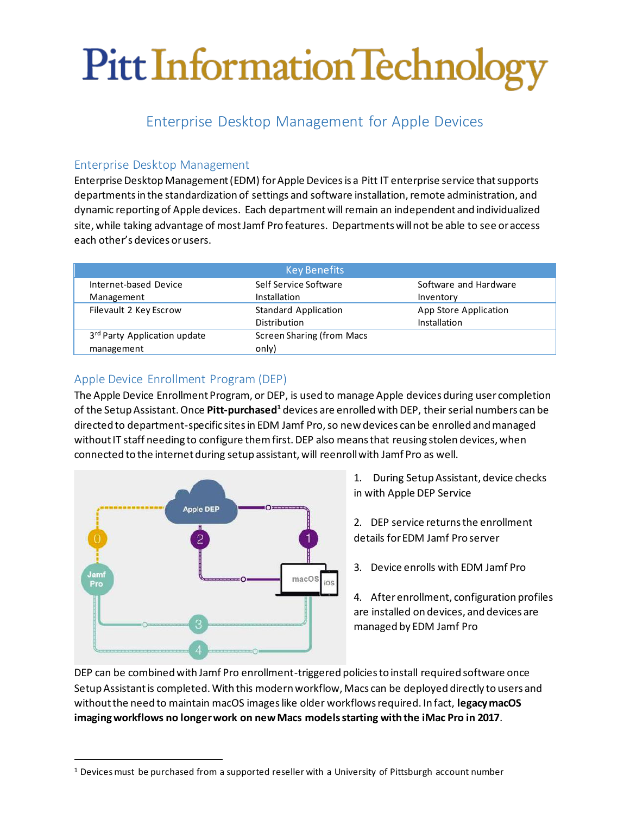# Pitt Information Technology

# Enterprise Desktop Management for Apple Devices

## Enterprise Desktop Management

Enterprise Desktop Management (EDM) for Apple Devicesis a Pitt IT enterprise service that supports departments in the standardization of settings and software installation, remote administration, and dynamic reporting of Apple devices. Each department will remain an independent and individualized site, while taking advantage of most Jamf Pro features. Departments will not be able to see or access each other's devices or users.

| <b>Key Benefits</b>          |                                  |                       |  |  |
|------------------------------|----------------------------------|-----------------------|--|--|
| Internet-based Device        | Self Service Software            | Software and Hardware |  |  |
| Management                   | Installation                     | Inventory             |  |  |
| Filevault 2 Key Escrow       | <b>Standard Application</b>      | App Store Application |  |  |
|                              | Distribution                     | Installation          |  |  |
| 3rd Party Application update | <b>Screen Sharing (from Macs</b> |                       |  |  |
| management                   | only)                            |                       |  |  |

# Apple Device Enrollment Program (DEP)

The Apple Device Enrollment Program, or DEP, is used to manage Apple devices during user completion of the Setup Assistant. Once **Pitt-purchased<sup>1</sup>** devices are enrolled with DEP, their serial numbers can be directed to department-specific sites in EDM Jamf Pro, so new devices can be enrolled and managed without IT staff needing to configure them first. DEP also means that reusing stolen devices, when connected to the internet during setup assistant, will reenroll with Jamf Pro as well.



- 1. During Setup Assistant, device checks in with Apple DEP Service
- 2. DEP service returns the enrollment details for EDM Jamf Pro server
- 3. Device enrolls with EDM Jamf Pro

4. After enrollment, configuration profiles are installed on devices, and devices are managed by EDM Jamf Pro

DEP can be combined with Jamf Pro enrollment-triggered policies to install required software once Setup Assistant is completed. With this modern workflow, Macs can be deployed directly to users and without the need to maintain macOS images like older workflows required. In fact, **legacy macOS imaging workflows no longer work on new Macs models starting with the iMac Pro in 2017**.

<sup>1</sup> Devices must be purchased from a supported reseller with a University of Pittsburgh account number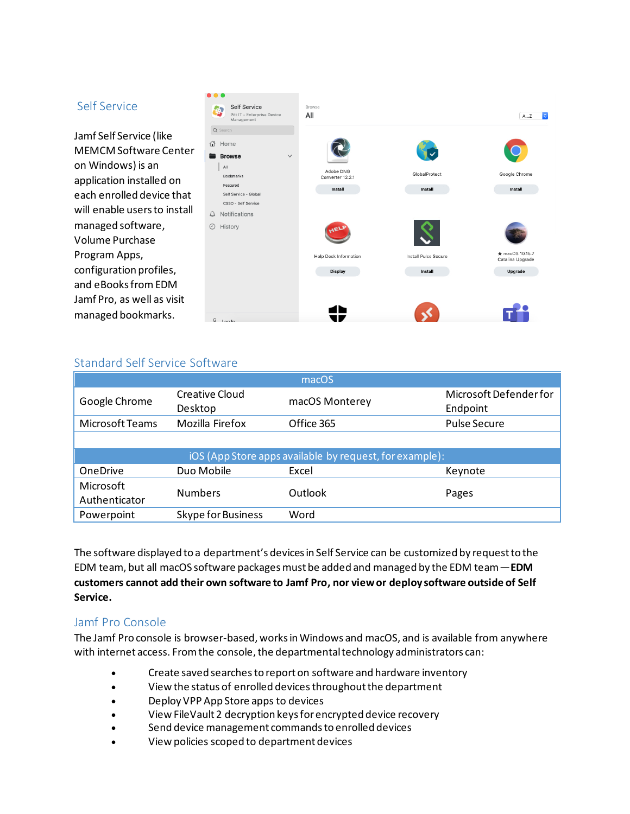#### Self Service

Jamf Self Service (like MEMCM Software Center on Windows) is an application installed on each enrolled device that will enable users to install managed software, Volume Purchase Program Apps, configuration profiles, and eBooks fromEDM Jamf Pro, as well as visit managed bookmarks.



### Standard Self Service Software

| macOS                                                   |                           |                |                                    |  |  |
|---------------------------------------------------------|---------------------------|----------------|------------------------------------|--|--|
| Google Chrome                                           | Creative Cloud<br>Desktop | macOS Monterey | Microsoft Defender for<br>Endpoint |  |  |
| Microsoft Teams                                         | Mozilla Firefox           | Office 365     | <b>Pulse Secure</b>                |  |  |
|                                                         |                           |                |                                    |  |  |
| iOS (App Store apps available by request, for example): |                           |                |                                    |  |  |
| <b>OneDrive</b>                                         | Duo Mobile                | Excel          | Keynote                            |  |  |
| Microsoft<br>Authenticator                              | <b>Numbers</b>            | Outlook        | Pages                              |  |  |
| Powerpoint                                              | <b>Skype for Business</b> | Word           |                                    |  |  |

The software displayed to a department's devices in Self Service can be customized by request to the EDM team, but all macOS software packages must be added and managed by the EDM team—**EDM customers cannot add their own software to Jamf Pro, nor view or deploy software outside of Self Service.**

#### Jamf Pro Console

The Jamf Pro console is browser-based, works in Windows and macOS, and is available from anywhere with internet access. From the console, the departmental technology administrators can:

- Create saved searches to report on software and hardware inventory
- View the status of enrolled devicesthroughout the department
- Deploy VPP App Store apps to devices
- View FileVault 2 decryption keys for encrypted device recovery
- Send device management commands to enrolled devices
- View policies scoped to department devices